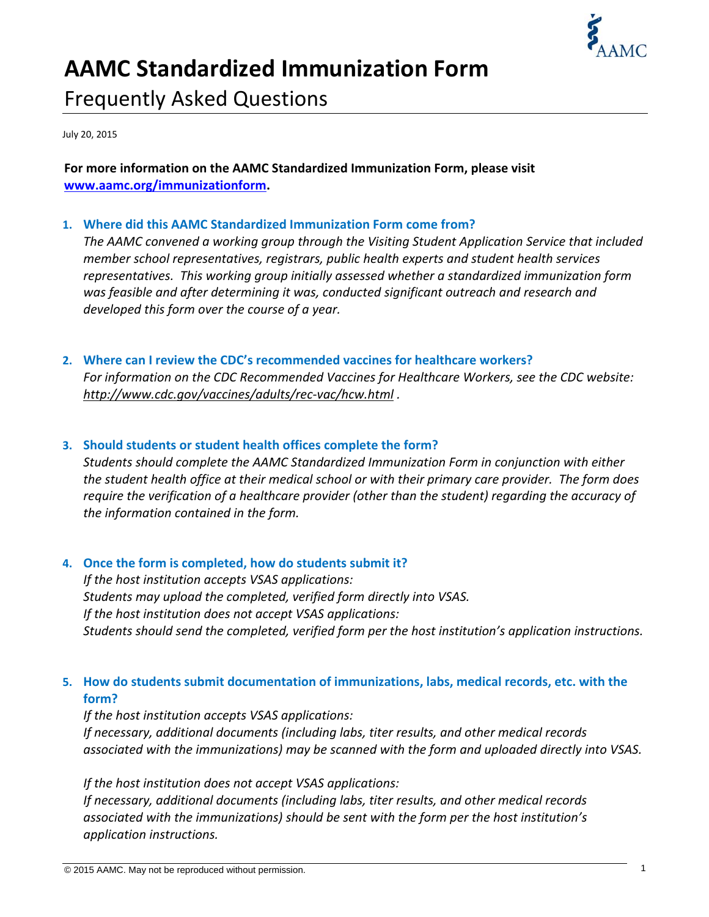

# **AAMC Standardized Immunization Form** Frequently Asked Questions

July 20, 2015

**For more information on the AAMC Standardized Immunization Form, please visit www.aamc.org/immunizationform.**

#### **1. Where did this AAMC Standardized Immunization Form come from?**

*The AAMC convened a working group through the Visiting Student Application Service that included member school representatives, registrars, public health experts and student health services representatives. This working group initially assessed whether a standardized immunization form was feasible and after determining it was, conducted significant outreach and research and developed this form over the course of a year.*

#### **2. Where can I review the CDC's recommended vaccines for healthcare workers?**

*For information on the CDC Recommended Vaccines for Healthcare Workers, see the CDC website: [http://www.cdc.gov/vaccines/adults/rec](http://www.cdc.gov/vaccines/adults/rec-vac/hcw.html)‐vac/hcw.html .*

#### **3. Should students or student health offices complete the form?**

*Students should complete the AAMC Standardized Immunization Form in conjunction with either* the student health office at their medical school or with their primary care provider. The form does *require the verification of a healthcare provider (other than the student) regarding the accuracy of the information contained in the form.*

## **4. Once the form is completed, how do students submit it?**

*If the host institution accepts VSAS applications: Students may upload the completed, verified form directly into VSAS. If the host institution does not accept VSAS applications: Students should send the completed, verified form per the host institution's application instructions.*

# **5. How do students submit documentation of immunizations, labs, medical records, etc. with the form?**

*If the host institution accepts VSAS applications: If necessary, additional documents (including labs, titer results, and other medical records associated with the immunizations) may be scanned with the form and uploaded directly into VSAS.* 

*If the host institution does not accept VSAS applications: If necessary, additional documents (including labs, titer results, and other medical records associated with the immunizations) should be sent with the form per the host institution's application instructions.*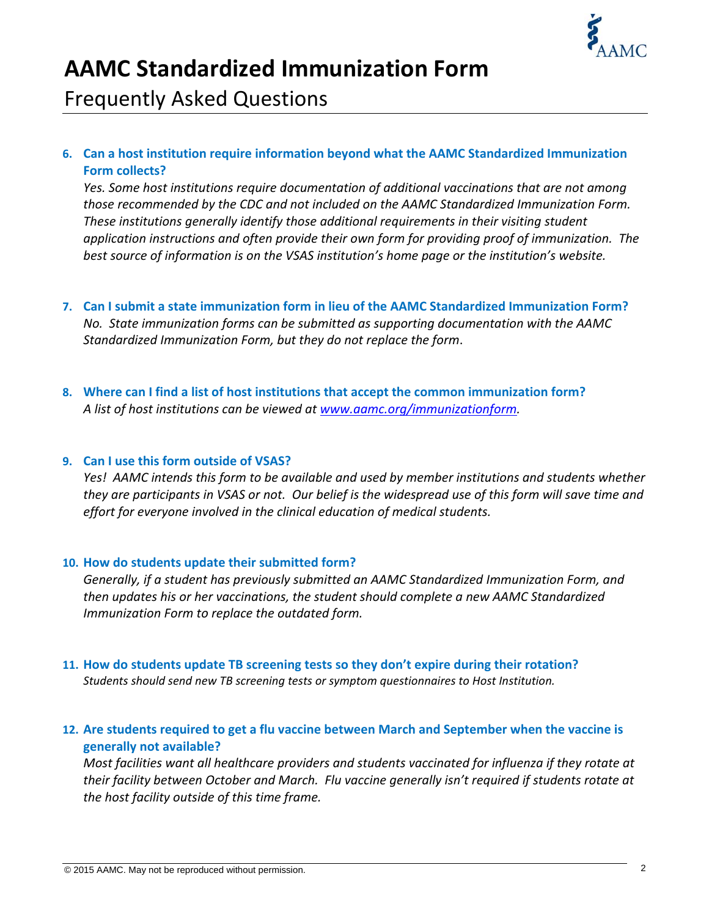

# **AAMC Standardized Immunization Form**

Frequently Asked Questions

# **6. Can a host institution require information beyond what the AAMC Standardized Immunization Form collects?**

*Yes. Some host institutions require documentation of additional vaccinations that are not among those recommended by the CDC and not included on the AAMC Standardized Immunization Form. These institutions generally identify those additional requirements in their visiting student application instructions and often provide their own form for providing proof of immunization. The best source of information is on the VSAS institution's home page or the institution's website.*

- **7. Can I submit a state immunization form in lieu of the AAMC Standardized Immunization Form?** *No. State immunization forms can be submitted as supporting documentation with the AAMC Standardized Immunization Form, but they do not replace the form*.
- **8. Where can I find a list of host institutions that accept the common immunization form?** *A list of host institutions can be viewed at www.aamc.org/immunizationform.*

#### **9. Can I use this form outside of VSAS?**

*Yes! AAMC intends this form to be available and used by member institutions and students whether* they are participants in VSAS or not. Our belief is the widespread use of this form will save time and *effort for everyone involved in the clinical education of medical students.*

#### **10. How do students update their submitted form?**

*Generally, if a student has previously submitted an AAMC Standardized Immunization Form, and then updates his or her vaccinations, the student should complete a new AAMC Standardized Immunization Form to replace the outdated form.*

#### **11. How do students update TB screening tests so they don't expire during their rotation?** *Students should send new TB screening tests or symptom questionnaires to Host Institution.*

# **12. Are students required to get a flu vaccine between March and September when the vaccine is generally not available?**

*Most facilities want all healthcare providers and students vaccinated for influenza if they rotate at their facility between October and March. Flu vaccine generally isn't required if students rotate at the host facility outside of this time frame.*